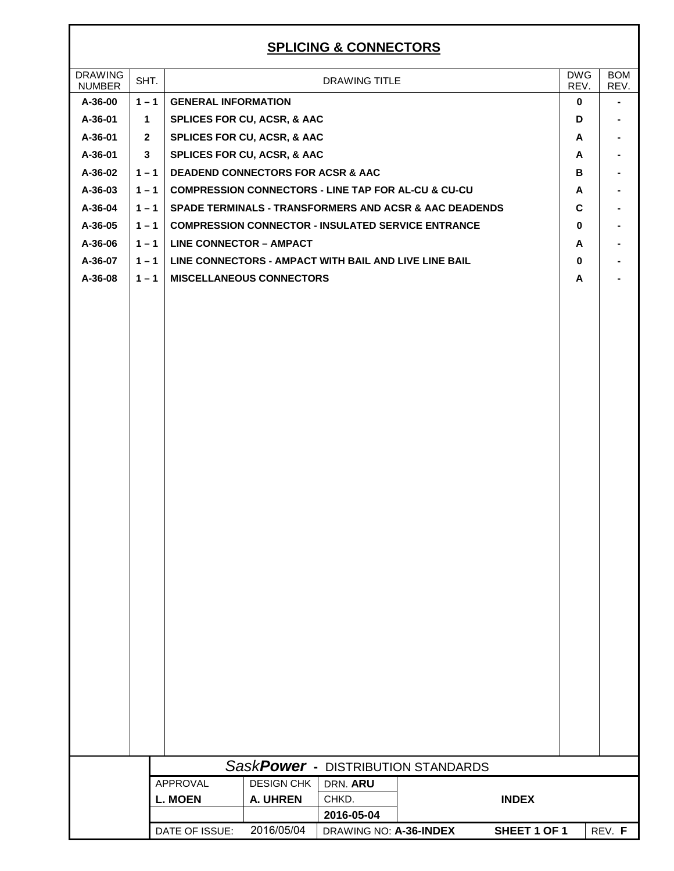### **SPLICING & CONNE**

|                                 |              |                                                             |                                              | <b>SPLICING &amp; CONNECTORS</b> |                                                                   |              |                    |                              |
|---------------------------------|--------------|-------------------------------------------------------------|----------------------------------------------|----------------------------------|-------------------------------------------------------------------|--------------|--------------------|------------------------------|
| <b>DRAWING</b><br><b>NUMBER</b> | SHT.         |                                                             |                                              | DRAWING TITLE                    |                                                                   |              | <b>DWG</b><br>REV. | <b>BOM</b><br>REV.           |
| A-36-00                         | $1 - 1$      | <b>GENERAL INFORMATION</b>                                  |                                              |                                  |                                                                   |              | $\bf{0}$           | $\qquad \qquad \blacksquare$ |
| A-36-01                         | $\mathbf{1}$ |                                                             | SPLICES FOR CU, ACSR, & AAC                  |                                  |                                                                   |              | D                  |                              |
| A-36-01                         | $\mathbf{2}$ |                                                             | SPLICES FOR CU, ACSR, & AAC                  |                                  |                                                                   |              | Α                  |                              |
| A-36-01                         | $\mathbf{3}$ |                                                             | SPLICES FOR CU, ACSR, & AAC                  |                                  |                                                                   |              | A                  |                              |
| A-36-02                         | $1 - 1$      |                                                             | <b>DEADEND CONNECTORS FOR ACSR &amp; AAC</b> |                                  |                                                                   |              | в                  |                              |
| A-36-03                         |              | 1-1   COMPRESSION CONNECTORS - LINE TAP FOR AL-CU & CU-CU   |                                              |                                  |                                                                   |              | A                  |                              |
| A-36-04                         | $1 - 1$      |                                                             |                                              |                                  | <b>SPADE TERMINALS - TRANSFORMERS AND ACSR &amp; AAC DEADENDS</b> |              | C                  |                              |
| A-36-05                         | $1 - 1$      |                                                             |                                              |                                  | <b>COMPRESSION CONNECTOR - INSULATED SERVICE ENTRANCE</b>         |              | 0                  |                              |
| A-36-06                         |              | $1 - 1$ LINE CONNECTOR - AMPACT                             |                                              |                                  |                                                                   |              | A                  |                              |
| A-36-07                         |              | 1-1   LINE CONNECTORS - AMPACT WITH BAIL AND LIVE LINE BAIL |                                              |                                  |                                                                   |              | $\mathbf 0$        |                              |
| A-36-08                         | $1 - 1$      |                                                             | <b>MISCELLANEOUS CONNECTORS</b>              |                                  |                                                                   |              | A                  |                              |
|                                 |              |                                                             |                                              |                                  | SaskPower - DISTRIBUTION STANDARDS                                |              |                    |                              |
|                                 |              | APPROVAL                                                    | <b>DESIGN CHK</b>                            | DRN. ARU                         |                                                                   |              |                    |                              |
|                                 |              | <b>L. MOEN</b>                                              | A. UHREN                                     | CHKD.                            |                                                                   | <b>INDEX</b> |                    |                              |
|                                 |              |                                                             |                                              | 2016-05-04                       |                                                                   |              |                    |                              |
|                                 |              | DATE OF ISSUE:                                              | 2016/05/04                                   | DRAWING NO: A-36-INDEX           |                                                                   | SHEET 1 OF 1 |                    | REV. F                       |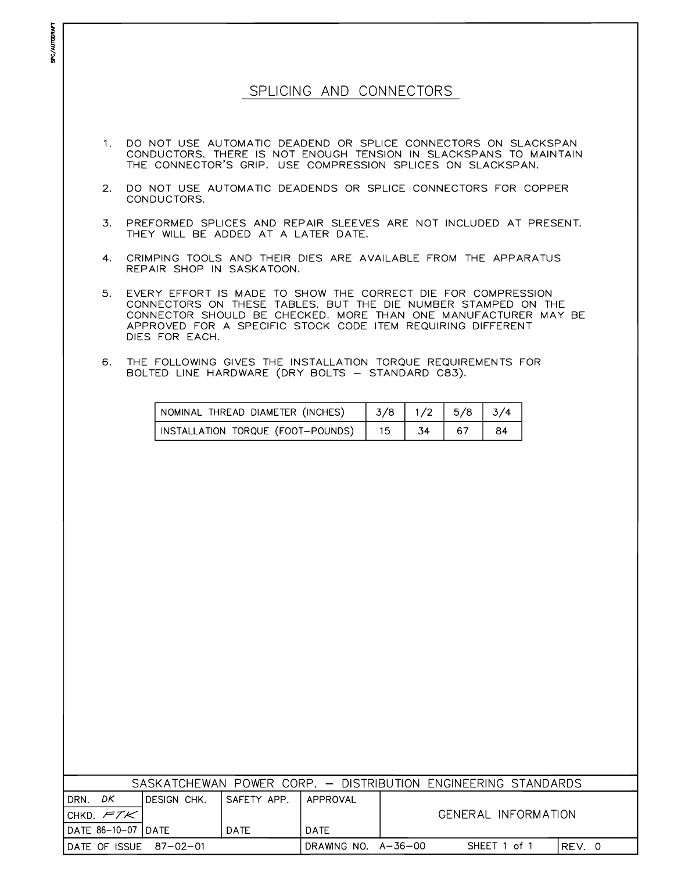#### SPLICING AND CONNECTORS

SPC/AUTODRAFT

- $1.$ DO NOT USE AUTOMATIC DEADEND OR SPLICE CONNECTORS ON SLACKSPAN CONDUCTORS. THERE IS NOT ENOUGH TENSION IN SLACKSPANS TO MAINTAIN THE CONNECTOR'S GRIP. USE COMPRESSION SPLICES ON SLACKSPAN.
- 2. DO NOT USE AUTOMATIC DEADENDS OR SPLICE CONNECTORS FOR COPPER CONDUCTORS.
- PREFORMED SPLICES AND REPAIR SLEEVES ARE NOT INCLUDED AT PRESENT. 3. THEY WILL BE ADDED AT A LATER DATE.
- 4. CRIMPING TOOLS AND THEIR DIES ARE AVAILABLE FROM THE APPARATUS REPAIR SHOP IN SASKATOON.
- $5.$ EVERY EFFORT IS MADE TO SHOW THE CORRECT DIE FOR COMPRESSION CONNECTORS ON THESE TABLES. BUT THE DIE NUMBER STAMPED ON THE CONNECTOR SHOULD BE CHECKED. MORE THAN ONE MANUFACTURER MAY BE APPROVED FOR A SPECIFIC STOCK CODE ITEM REQUIRING DIFFERENT DIES FOR EACH.
- $6.$ THE FOLLOWING GIVES THE INSTALLATION TORQUE REQUIREMENTS FOR BOLTED LINE HARDWARE (DRY BOLTS - STANDARD C83).

| NOMINAL THREAD DIAMETER (INCHES)  | 3/8 | $1/2$   5/8 | 3/4 |
|-----------------------------------|-----|-------------|-----|
| INSTALLATION TORQUE (FOOT-POUNDS) |     |             | 84  |

|                                       |              |              |                     | SASKATCHEWAN POWER CORP. - DISTRIBUTION ENGINEERING STANDARDS |      |
|---------------------------------------|--------------|--------------|---------------------|---------------------------------------------------------------|------|
| DK.<br>DRN.                           | IDESIGN CHK. | ISAFETY APP. | APPROVAL            |                                                               |      |
| <code>'CHKD.</code> $\mathcal{FTK}$ . |              |              |                     | GENERAL INFORMATION                                           |      |
| IDATE 86-10-07 IDATE                  |              | <b>DATE</b>  | <b>DATE</b>         |                                                               |      |
| $IDATE OF ISSUE 87-02-01$             |              |              | DRAWING NO. A-36-00 | SHEET 1 of 1                                                  | REV. |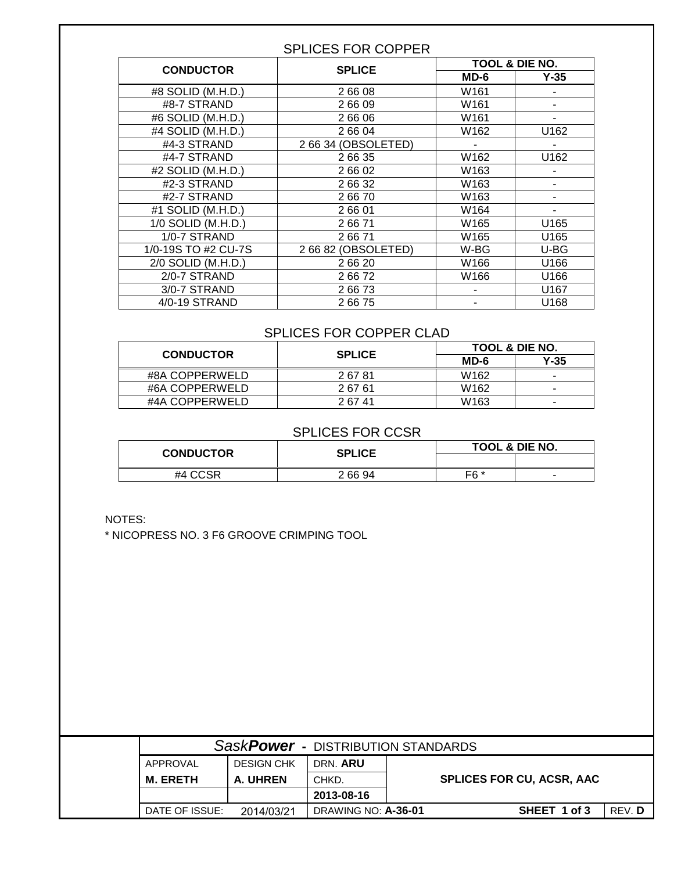#### SPLICES FOR COPPER

|                     | <b>SPLICE</b>       |                  | <b>TOOL &amp; DIE NO.</b> |
|---------------------|---------------------|------------------|---------------------------|
| <b>CONDUCTOR</b>    |                     | $MD-6$           | $Y-35$                    |
| #8 SOLID (M.H.D.)   | 26608               | W161             |                           |
| #8-7 STRAND         | 26609               | W161             |                           |
| #6 SOLID (M.H.D.)   | 2 66 06             | W161             | ۰                         |
| #4 SOLID (M.H.D.)   | 2 66 04             | W162             | U162                      |
| #4-3 STRAND         | 2 66 34 (OBSOLETED) | $\blacksquare$   | ۰                         |
| #4-7 STRAND         | 2 66 35             | W162             | U162                      |
| #2 SOLID (M.H.D.)   | 2 66 02             | W163             |                           |
| #2-3 STRAND         | 2 66 32             | W163             |                           |
| #2-7 STRAND         | 26670               | W163             |                           |
| #1 SOLID (M.H.D.)   | 26601               | W164             |                           |
| 1/0 SOLID (M.H.D.)  | 26671               | W <sub>165</sub> | U165                      |
| 1/0-7 STRAND        | 26671               | W <sub>165</sub> | U165                      |
| 1/0-19S TO #2 CU-7S | 2 66 82 (OBSOLETED) | W-BG             | U-BG                      |
| 2/0 SOLID (M.H.D.)  | 26620               | W166             | U166                      |
| 2/0-7 STRAND        | 26672               | W166             | U166                      |
| 3/0-7 STRAND        | 26673               |                  | U167                      |
| 4/0-19 STRAND       | 26675               |                  | U168                      |

#### SPLICES FOR COPPER CLAD

| <b>CONDUCTOR</b> | <b>SPLICE</b> | <b>TOOL &amp; DIE NO.</b> |                          |
|------------------|---------------|---------------------------|--------------------------|
|                  |               | MD-6                      | $Y-35$                   |
| #8A COPPERWELD   | 26781         | W <sub>162</sub>          | ۰                        |
| #6A COPPERWELD   | 26761         | W <sub>162</sub>          | $\overline{\phantom{a}}$ |
| #4A COPPERWELD   | 2 67 41       | W <sub>163</sub>          | $\overline{\phantom{a}}$ |

#### SPLICES FOR CCSR

| <b>CONDUCTOR</b> | SPLICE  | <b>TOOL &amp; DIE NO.</b> |                          |  |
|------------------|---------|---------------------------|--------------------------|--|
|                  |         |                           |                          |  |
| #4 CCSR          | 2 66 94 | F6 *                      | $\overline{\phantom{a}}$ |  |

NOTES:

\* NICOPRESS NO. 3 F6 GROOVE CRIMPING TOOL

|                 |                   | SaskPower - DISTRIBUTION STANDARDS |                                  |        |
|-----------------|-------------------|------------------------------------|----------------------------------|--------|
| APPROVAL        | <b>DESIGN CHK</b> | DRN. ARU                           |                                  |        |
| <b>M. ERETH</b> | A. UHREN          | CHKD.                              | <b>SPLICES FOR CU, ACSR, AAC</b> |        |
|                 |                   | 2013-08-16                         |                                  |        |
| DATE OF ISSUE:  | 2014/03/21        | DRAWING NO: A-36-01                | SHEET 1 of 3                     | REV. D |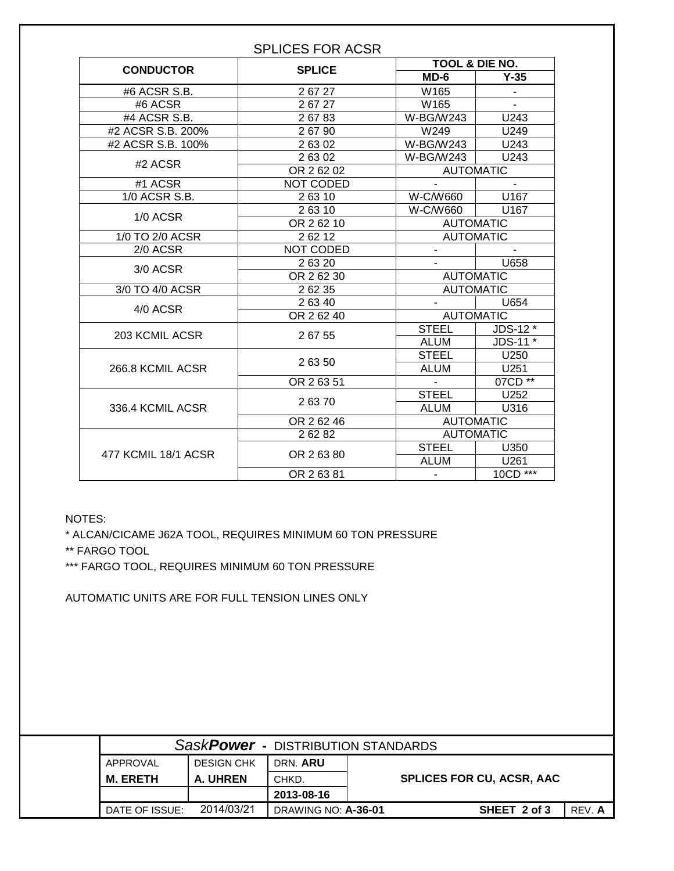|                     |               | <b>TOOL &amp; DIE NO.</b> |                |
|---------------------|---------------|---------------------------|----------------|
| <b>CONDUCTOR</b>    | <b>SPLICE</b> | $MD-6$                    | $Y-35$         |
| #6 ACSR S.B.        | 26727         | W <sub>165</sub>          |                |
| #6 ACSR             | 26727         | W165                      |                |
| #4 ACSR S.B.        | 26783         | W-BG/W243                 | U243           |
| #2 ACSR S.B. 200%   | 26790         | W249                      | U249           |
| #2 ACSR S.B. 100%   | 26302         | W-BG/W243                 | U243           |
|                     | 26302         | W-BG/W243                 | U243           |
| #2 ACSR             | OR 26202      | <b>AUTOMATIC</b>          |                |
| #1 ACSR             | NOT CODED     |                           | $\blacksquare$ |
| 1/0 ACSR S.B.       | 26310         | W-C/W660                  | U167           |
|                     | 26310         | W-C/W660                  | U167           |
| 1/0 ACSR            | OR 262 10     | <b>AUTOMATIC</b>          |                |
| 1/0 TO 2/0 ACSR     | 26212         | <b>AUTOMATIC</b>          |                |
| 2/0 ACSR            | NOT CODED     |                           |                |
|                     | 26320         |                           | U658           |
| 3/0 ACSR            | OR 262 30     | <b>AUTOMATIC</b>          |                |
| 3/0 TO 4/0 ACSR     | 2 62 35       | <b>AUTOMATIC</b>          |                |
| 4/0 ACSR            | 2 63 40       |                           | U654           |
|                     | OR 26240      | <b>AUTOMATIC</b>          |                |
| 203 KCMIL ACSR      |               | <b>STEEL</b>              | JDS-12 *       |
|                     | 26755         | ALUM                      | JDS-11 *       |
|                     |               | <b>STEEL</b>              | U250           |
| 266.8 KCMIL ACSR    | 26350         | <b>ALUM</b>               | U251           |
|                     | OR 26351      | $\blacksquare$            | 07CD **        |
|                     | 26370         | <b>STEEL</b>              | U252           |
| 336.4 KCMIL ACSR    |               | <b>ALUM</b>               | U316           |
|                     | OR 26246      | <b>AUTOMATIC</b>          |                |
|                     | 26282         | <b>AUTOMATIC</b>          |                |
| 477 KCMIL 18/1 ACSR | OR 26380      | <b>STEEL</b>              | U350           |
|                     |               | <b>ALUM</b>               | U261           |
|                     | OR 26381      | $\blacksquare$            | $10CD$ ***     |

NOTES:

\* ALCAN/CICAME J62A TOOL, REQUIRES MINIMUM 60 TON PRESSURE

\*\* FARGO TOOL

\*\*\* FARGO TOOL, REQUIRES MINIMUM 60 TON PRESSURE

AUTOMATIC UNITS ARE FOR FULL TENSION LINES ONLY

|                 | SaskPower - DISTRIBUTION STANDARDS |                     |                                  |        |
|-----------------|------------------------------------|---------------------|----------------------------------|--------|
| APPROVAL        | <b>DESIGN CHK</b>                  | DRN. ARU            |                                  |        |
| <b>M. ERETH</b> | A. UHREN                           | CHKD.               | <b>SPLICES FOR CU, ACSR, AAC</b> |        |
|                 |                                    | 2013-08-16          |                                  |        |
| DATE OF ISSUE:  | 2014/03/21                         | DRAWING NO: A-36-01 | SHEET 2 of 3                     | REV. A |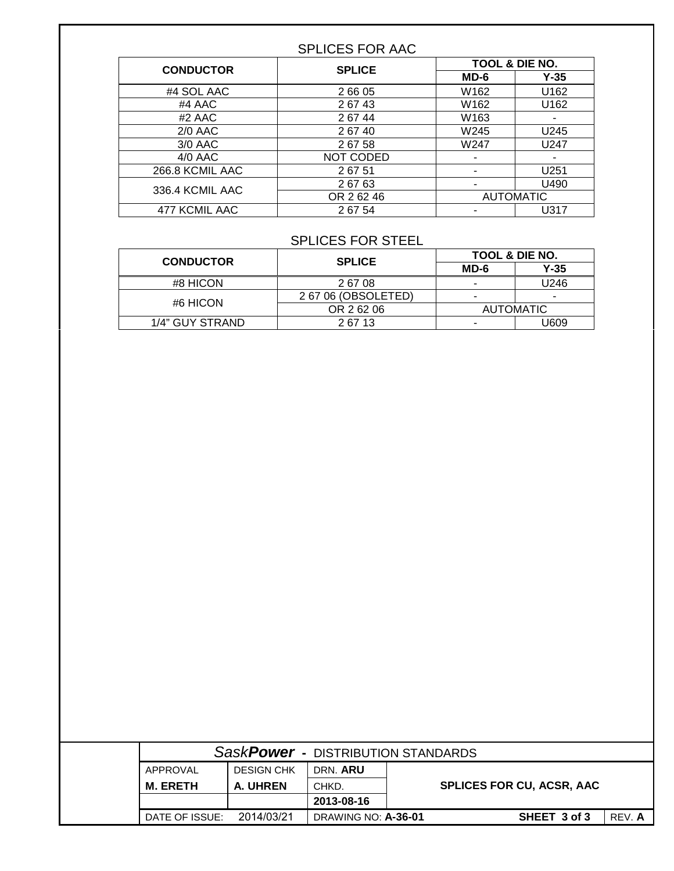#### SPLICES FOR AAC

| <b>CONDUCTOR</b> | <b>SPLICE</b> |                          | <b>TOOL &amp; DIE NO.</b> |
|------------------|---------------|--------------------------|---------------------------|
|                  |               | $MD-6$                   | $Y-35$                    |
| #4 SOL AAC       | 2 66 05       | W162                     | U162                      |
| #4 AAC           | 26743         | W162                     | U162                      |
| #2 AAC           | 26744         | W163                     |                           |
| $2/0$ AAC        | 26740         | W245                     | U245                      |
| 3/0 AAC          | 26758         | W247                     | U247                      |
| $4/0$ AAC        | NOT CODED     |                          |                           |
| 266.8 KCMIL AAC  | 26751         |                          | U251                      |
| 336.4 KCMIL AAC  | 26763         | $\overline{\phantom{a}}$ | U490                      |
|                  | OR 26246      |                          | <b>AUTOMATIC</b>          |
| 477 KCMIL AAC    | 26754         |                          | U317                      |

#### SPLICES FOR STEEL

| <b>CONDUCTOR</b> | <b>SPLICE</b>       | <b>TOOL &amp; DIE NO.</b> |                          |
|------------------|---------------------|---------------------------|--------------------------|
|                  |                     | $MD-6$                    | $Y-35$                   |
| #8 HICON         | 26708               | -                         | U246                     |
| #6 HICON         | 2 67 06 (OBSOLETED) | -                         | $\overline{\phantom{a}}$ |
|                  | OR 26206            |                           | <b>AUTOMATIC</b>         |
| 1/4" GUY STRAND  | 26713               |                           | J609                     |

|                                  | SaskPower - DISTRIBUTION STANDARDS |                   |                 |
|----------------------------------|------------------------------------|-------------------|-----------------|
|                                  | DRN. ARU                           | <b>DESIGN CHK</b> | APPROVAL        |
| <b>SPLICES FOR CU, ACSR, AAC</b> | CHKD.                              | A. UHREN          | <b>M. ERETH</b> |
|                                  | 2013-08-16                         |                   |                 |
| SHEET 3 of 3<br>REV. A           | <b>DRAWING NO: A-36-01</b>         | 2014/03/21        | DATE OF ISSUE:  |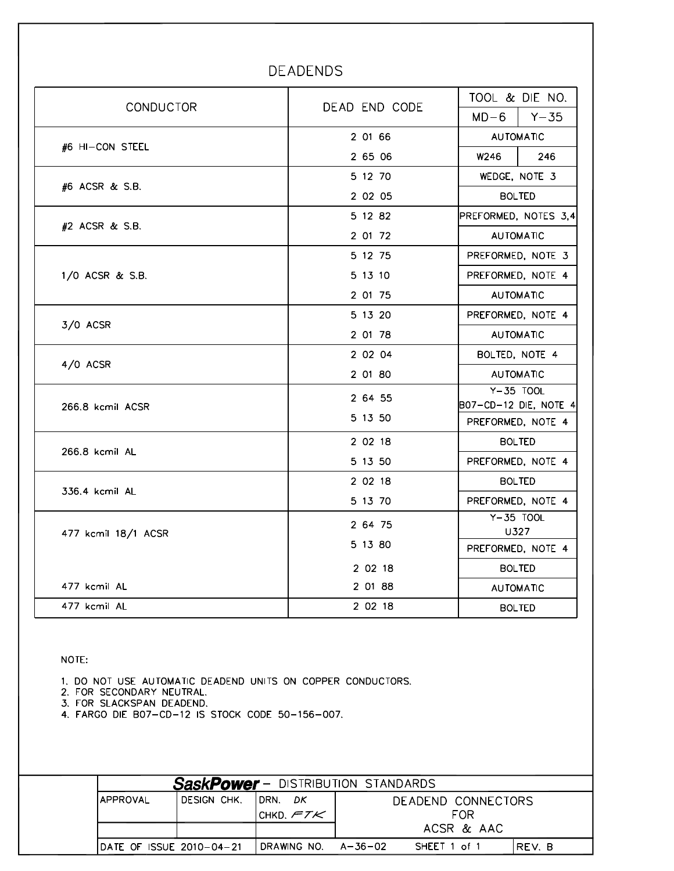| <b>CONDUCTOR</b>    | DEAD END CODE |                                             | TOOL & DIE NO.    |  |
|---------------------|---------------|---------------------------------------------|-------------------|--|
|                     |               | $MD-6$                                      | $Y - 35$          |  |
| #6 HI-CON STEEL     | 2 01 66       | <b>AUTOMATIC</b>                            |                   |  |
|                     | 2 65 06       | W246                                        | 246               |  |
| #6 ACSR & S.B.      | 5 12 70       | WEDGE, NOTE 3                               |                   |  |
|                     | 2 02 05       | <b>BOLTED</b>                               |                   |  |
|                     | 5 12 82       | PREFORMED, NOTES 3,4                        |                   |  |
| #2 ACSR & S.B.      | 2 01 72       | <b>AUTOMATIC</b>                            |                   |  |
|                     | 5 12 75       |                                             | PREFORMED, NOTE 3 |  |
| 1/0 ACSR & S.B.     | 5 13 10       | PREFORMED, NOTE 4                           |                   |  |
|                     | 2 01 75       | <b>AUTOMATIC</b>                            |                   |  |
|                     | 5 13 20       | PREFORMED, NOTE 4                           |                   |  |
| 3/0 ACSR            | 2 01 78       | <b>AUTOMATIC</b>                            |                   |  |
| 4/0 ACSR            | 2 02 04       | BOLTED, NOTE 4                              |                   |  |
|                     | 2 01 80       | <b>AUTOMATIC</b>                            |                   |  |
|                     | 2 64 55       | Y-35 TOOL                                   |                   |  |
| 266.8 kcmil ACSR    | 5 13 50       | B07-CD-12 DIE, NOTE 4 <br>PREFORMED, NOTE 4 |                   |  |
|                     | 2 02 18       |                                             | <b>BOLTED</b>     |  |
| 266.8 kcmil AL      | 5 13 50       | PREFORMED, NOTE 4                           |                   |  |
|                     | 2 02 18       |                                             | <b>BOLTED</b>     |  |
| 336.4 kcmil AL      | 5 13 70       | PREFORMED, NOTE 4                           |                   |  |
|                     | 2 64 75       | $Y - 35$ TOOL                               |                   |  |
| 477 kcmil 18/1 ACSR |               | U327                                        |                   |  |
|                     | 5 13 80       | PREFORMED, NOTE 4                           |                   |  |
|                     | 2 02 18       | <b>BOLTED</b>                               |                   |  |
| 477 kcmil AL        | 2 01 88       |                                             | <b>AUTOMATIC</b>  |  |
| 477 kcmil AL        | 2 02 18       |                                             | <b>BOLTED</b>     |  |

### DEADENDS

NOTE:

1. DO NOT USE AUTOMATIC DEADEND UNITS ON COPPER CONDUCTORS.

2. FOR SECONDARY NEUTRAL.

3. FOR SLACKSPAN DEADEND.

4. FARGO DIE B07-CD-12 IS STOCK CODE 50-156-007.

|                           |             |                     | <b>SaskPower</b> - DISTRIBUTION STANDARDS |
|---------------------------|-------------|---------------------|-------------------------------------------|
| IAPPROVAL                 | DESIGN CHK. | IDRN.<br>DK         | DEADEND CONNECTORS                        |
|                           |             | ICHKD, $FTK$        | <b>FOR</b>                                |
|                           |             |                     | ACSR & AAC                                |
| IDATE OF ISSUE 2010-04-21 |             | DRAWING NO. A-36-02 | SHEET 1 of 1<br>IREV. B                   |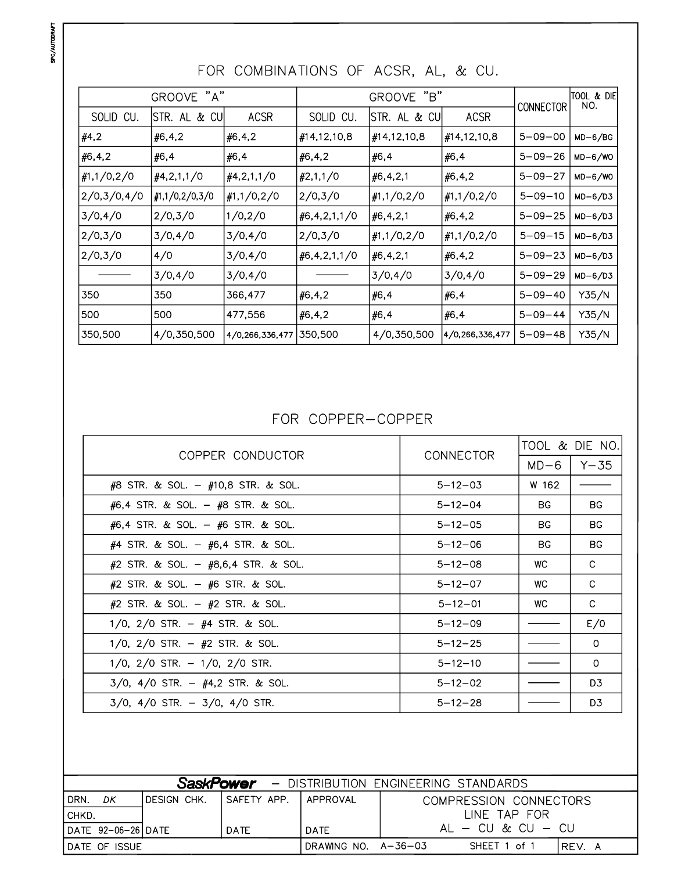|              | "A"<br><b>GROOVE</b>       |                 |                     | "B"<br><b>GROOVE</b> |                 | CONNECTOR     | ITOOL & DIE<br>NO. |
|--------------|----------------------------|-----------------|---------------------|----------------------|-----------------|---------------|--------------------|
| SOLID CU.    | <b>CUI</b><br>STR. AL<br>& | <b>ACSR</b>     | SOLID CU.           | & CU<br>STR. AL      | <b>ACSR</b>     |               |                    |
| #4,2         | #6,4,2                     | #6, 4, 2        | #14,12,10,8         | #14,12,10,8          | #14,12,10,8     | $5 - 09 - 00$ | $MD-6/BG$          |
| #6,4,2       | #6,4                       | #6,4            | #6,4,2              | #6,4                 | #6,4            | $5 - 09 - 26$ | $MD-6/WO$          |
| #1, 1/0, 2/0 | $\#4,2,1,1/0$              | #4,2,1,1/0      | $\#2,1,1/0$         | #6,4,2,1             | #6, 4, 2        | $5 - 09 - 27$ | $MD-6/WO$          |
| 2/0,3/0,4/0  | #1, 1/0, 2/0, 3/0          | #1, 1/0, 2/0    | 2/0,3/0             | #1, 1/0, 2/0         | #1, 1/0, 2/0    | $5 - 09 - 10$ | $MD-6/D3$          |
| 3/0,4/0      | 2/0,3/0                    | 1/0,2/0         | $\#6, 4, 2, 1, 1/0$ | #6,4,2,1             | #6, 4, 2        | $5 - 09 - 25$ | $MD-6/D3$          |
| 2/0,3/0      | 3/0,4/0                    | 3/0,4/0         | 2/0,3/0             | #1, 1/0, 2/0         | #1, 1/0, 2/0    | $5 - 09 - 15$ | $MD-6/D3$          |
| 2/0,3/0      | 4/0                        | 3/0,4/0         | #6,4,2,1,1/0        | #6, 4, 2, 1          | #6, 4, 2        | $5 - 09 - 23$ | $MD-6/D3$          |
|              | 3/0,4/0                    | 3/0,4/0         |                     | 3/0,4/0              | 3/0,4/0         | $5 - 09 - 29$ | $MD-6/D3$          |
| 350          | 350                        | 366,477         | #6,4,2              | #6,4                 | #6,4            | $5 - 09 - 40$ | Y35/N              |
| 500          | 500                        | 477,556         | #6, 4, 2            | #6,4                 | #6,4            | $5 - 09 - 44$ | Y35/N              |
| 350,500      | 4/0,350,500                | 4/0,266,336,477 | 350,500             | 4/0,350,500          | 4/0,266,336,477 | $5 - 09 - 48$ | Y35/N              |

# FOR COMBINATIONS OF ACSR, AL, & CU.

### FOR COPPER-COPPER

| COPPER CONDUCTOR                         | CONNECTOR     | TOOL & DIE NO. |                |
|------------------------------------------|---------------|----------------|----------------|
|                                          |               | $MD-6$         | Y-35           |
| $\#8$ STR. & SOL. - $\#10,8$ STR. & SOL. | $5 - 12 - 03$ | W 162          |                |
| $#6,4$ STR. & SOL. $ #8$ STR. & SOL.     | $5 - 12 - 04$ | <b>BG</b>      | <b>BG</b>      |
| $#6,4$ STR. & SOL. $ #6$ STR. & SOL.     | $5 - 12 - 05$ | BG.            | BG.            |
| $#4$ STR. & SOL. $ #6,4$ STR. & SOL.     | $5 - 12 - 06$ | BG.            | BG.            |
| #2 STR. & SOL. $-$ #8,6,4 STR. & SOL.    | $5 - 12 - 08$ | WC.            | C              |
| $#2$ STR. & SOL. $ #6$ STR. & SOL.       | $5 - 12 - 07$ | WC.            | C              |
| $#2$ STR. & SOL. $ #2$ STR. & SOL.       | $5 - 12 - 01$ | WC.            | C              |
| 1/0, 2/0 STR. $-$ #4 STR. & SOL.         | $5 - 12 - 09$ |                | E/0            |
| 1/0, 2/0 STR. $-$ #2 STR. & SOL.         | $5 - 12 - 25$ |                | 0              |
| $1/0$ , $2/0$ STR. $-1/0$ , $2/0$ STR.   | $5 - 12 - 10$ |                | $\Omega$       |
| $3/0$ , $4/0$ STR. - $#4,2$ STR. & SOL.  | $5 - 12 - 02$ |                | D <sub>3</sub> |
| $3/0$ , $4/0$ STR. - $3/0$ , $4/0$ STR.  | $5 - 12 - 28$ |                | D3             |

|                    | <b>SaskPower</b> - DISTRIBUTION ENGINEERING STANDARDS |              |                      |                                  |  |
|--------------------|-------------------------------------------------------|--------------|----------------------|----------------------------------|--|
| I DRN.<br>DΚ       | IDESIGN CHK.                                          | ISAFETY APP. | I APPROVAL           | COMPRESSION CONNECTORS           |  |
| I CHKD.            |                                                       |              |                      | LINE TAP FOR                     |  |
| DATE 92-06-26 DATE |                                                       | <b>DATE</b>  | <b>DATE</b>          | $\mathsf{Al}$ $-$ CU & CU $-$ CU |  |
| IDATE OF ISSUE     |                                                       |              | DRAWING NO. A-36-03! | SHEET 1 of 1<br>IREV. A          |  |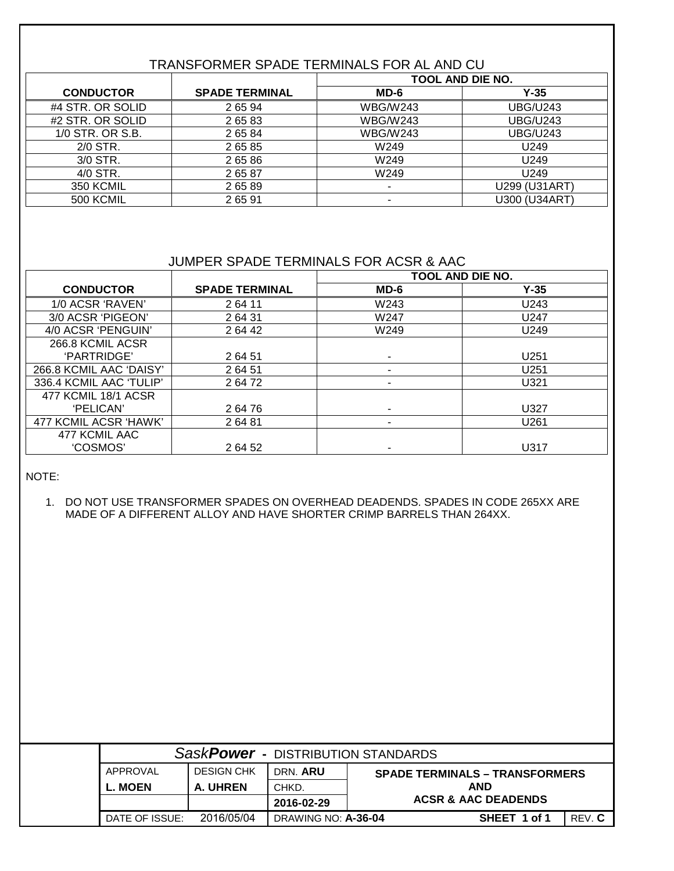### TRANSFORMER SPADE TERMINALS FOR AL AND CU

|                  |                       | <b>TOOL AND DIE NO.</b>  |                     |  |
|------------------|-----------------------|--------------------------|---------------------|--|
| <b>CONDUCTOR</b> | <b>SPADE TERMINAL</b> | $MD-6$                   | $Y-35$              |  |
| #4 STR. OR SOLID | 2 65 94               | <b>WBG/W243</b>          | <b>UBG/U243</b>     |  |
| #2 STR. OR SOLID | 2 65 83               | <b>WBG/W243</b>          | <b>UBG/U243</b>     |  |
| 1/0 STR. OR S.B. | 2 65 84               | <b>WBG/W243</b>          | <b>UBG/U243</b>     |  |
| 2/0 STR.         | 2 65 85               | W249                     | U249                |  |
| 3/0 STR.         | 2 65 86               | W249                     | U249                |  |
| 4/0 STR.         | 26587                 | W249                     | U249                |  |
| 350 KCMIL        | 26589                 | $\overline{\phantom{a}}$ | U299 (U31ART)       |  |
| 500 KCMIL        | 26591                 |                          | <b>U300 (U34ART</b> |  |

#### JUMPER SPADE TERMINALS FOR ACSR & AAC

|                         |                       | <b>TOOL AND DIE NO.</b> |        |
|-------------------------|-----------------------|-------------------------|--------|
| <b>CONDUCTOR</b>        | <b>SPADE TERMINAL</b> | $MD-6$                  | $Y-35$ |
| 1/0 ACSR 'RAVEN'        | 264 11                | W243                    | U243   |
| 3/0 ACSR 'PIGEON'       | 2 64 31               | W247                    | U247   |
| 4/0 ACSR 'PENGUIN'      | 2 64 42               | W249                    | U249   |
| 266.8 KCMIL ACSR        |                       |                         |        |
| 'PARTRIDGE'             | 2 64 51               |                         | U251   |
| 266.8 KCMIL AAC 'DAISY' | 2 64 51               |                         | U251   |
| 336.4 KCMIL AAC 'TULIP' | 2 64 72               |                         | U321   |
| 477 KCMIL 18/1 ACSR     |                       |                         |        |
| 'PELICAN'               | 2 64 76               |                         | U327   |
| 477 KCMIL ACSR 'HAWK'   | 26481                 |                         | U261   |
| 477 KCMIL AAC           |                       |                         |        |
| 'COSMOS'                | 2 64 52               | ۰                       | U317   |

NOTE:

1. DO NOT USE TRANSFORMER SPADES ON OVERHEAD DEADENDS. SPADES IN CODE 265XX ARE MADE OF A DIFFERENT ALLOY AND HAVE SHORTER CRIMP BARRELS THAN 264XX.

| SaskPower - DISTRIBUTION STANDARDS |                |                   |                     |                                       |                                |        |
|------------------------------------|----------------|-------------------|---------------------|---------------------------------------|--------------------------------|--------|
|                                    | APPROVAL       | <b>DESIGN CHK</b> | DRN. ARU            | <b>SPADE TERMINALS – TRANSFORMERS</b> |                                |        |
|                                    | L. MOEN        | A. UHREN          | CHKD.               |                                       | <b>AND</b>                     |        |
|                                    |                |                   | 2016-02-29          |                                       | <b>ACSR &amp; AAC DEADENDS</b> |        |
|                                    | DATE OF ISSUE: | 2016/05/04        | DRAWING NO: A-36-04 |                                       | SHEET 1 of 1                   | REV. C |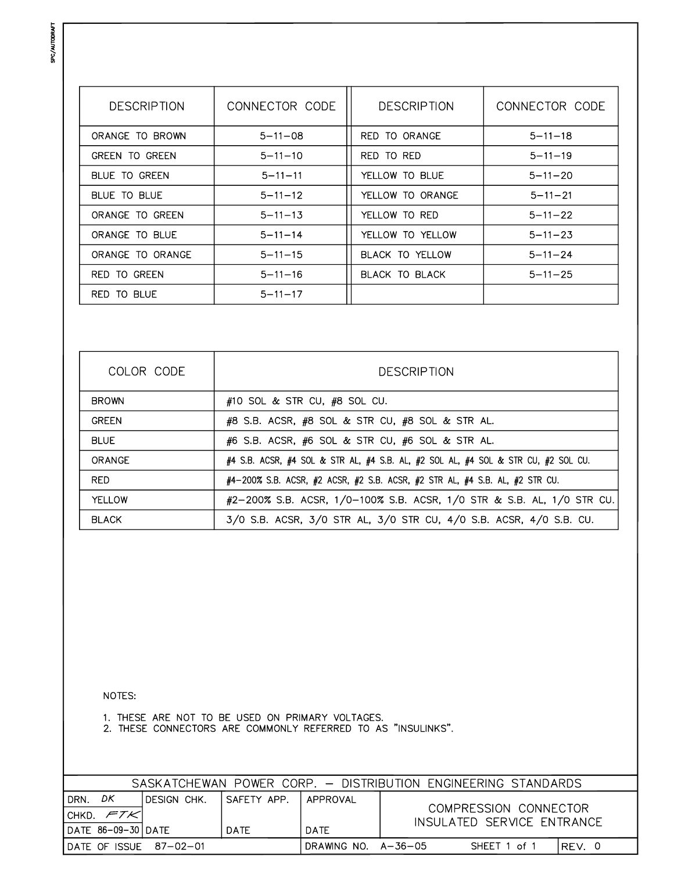SPC/AUTODRAFT

| <b>DESCRIPTION</b>    | CONNECTOR CODE | <b>DESCRIPTION</b> | CONNECTOR CODE |
|-----------------------|----------------|--------------------|----------------|
| ORANGE TO BROWN       | $5 - 11 - 08$  | RED TO ORANGE      | $5 - 11 - 18$  |
| <b>GREEN TO GREEN</b> | $5 - 11 - 10$  | RED TO RED         | $5 - 11 - 19$  |
| BLUE TO GREEN         | $5 - 11 - 11$  | YELLOW TO BLUE     | $5 - 11 - 20$  |
| BLUE TO BLUE          | $5 - 11 - 12$  | YELLOW TO ORANGE   | $5 - 11 - 21$  |
| ORANGE TO GREEN       | $5 - 11 - 13$  | YELLOW TO RED      | $5 - 11 - 22$  |
| ORANGE TO BLUE        | $5 - 11 - 14$  | YELLOW TO YELLOW   | $5 - 11 - 23$  |
| ORANGE TO ORANGE      | $5 - 11 - 15$  | BLACK TO YELLOW    | $5 - 11 - 24$  |
| TO GREEN<br>RFD.      | $5 - 11 - 16$  | BLACK TO BLACK     | $5 - 11 - 25$  |
| RED TO BLUE           | $5 - 11 - 17$  |                    |                |

| COLOR CODE   | <b>DESCRIPTION</b>                                                                             |  |  |  |
|--------------|------------------------------------------------------------------------------------------------|--|--|--|
| <b>BROWN</b> | #10 SOL & STR CU, $#8$ SOL CU.                                                                 |  |  |  |
| <b>GREEN</b> | #8 S.B. ACSR, #8 SOL & STR CU, #8 SOL & STR AL.                                                |  |  |  |
| <b>BLUE</b>  | #6 S.B. ACSR, #6 SOL & STR CU, #6 SOL & STR AL.                                                |  |  |  |
| ORANGE       | #4 S.B. ACSR, #4 SOL & STR AL, #4 S.B. AL, #2 SOL AL, #4 SOL & STR CU, #2 SOL CU.              |  |  |  |
| RED.         | $\#4-200\%$ S.B. ACSR, $\#2$ ACSR, $\#2$ S.B. ACSR, $\#2$ STR AL, $\#4$ S.B. AL, $\#2$ STR CU. |  |  |  |
| YELLOW       | #2-200% S.B. ACSR, 1/0-100% S.B. ACSR, 1/0 STR & S.B. AL, 1/0 STR CU.                          |  |  |  |
| <b>BLACK</b> | 3/0 S.B. ACSR, 3/0 STR AL, 3/0 STR CU, 4/0 S.B. ACSR, 4/0 S.B. CU.                             |  |  |  |

NOTES:

1. THESE ARE NOT TO BE USED ON PRIMARY VOLTAGES.<br>2. THESE CONNECTORS ARE COMMONLY REFERRED TO AS "INSULINKS".

| SASKATCHEWAN POWER CORP. - DISTRIBUTION ENGINEERING STANDARDS |              |               |                                   |  |                            |         |  |
|---------------------------------------------------------------|--------------|---------------|-----------------------------------|--|----------------------------|---------|--|
| DΚ<br><b>DRN</b><br>ICHKD. $\epsilon$ 7 $\kappa$ I            | IDESIGN CHK. | I SAFETY APP. | APPROVAL<br>COMPRESSION CONNECTOR |  |                            |         |  |
| DATE 86-09-30 DATE                                            |              | <b>DATE</b>   | DATE                              |  | INSULATED SERVICE ENTRANCE |         |  |
| IDATE OF ISSUE 87-02-01                                       |              |               | DRAWING NO. $A-36-05$             |  | SHEET 1 of 1               | IREV. 0 |  |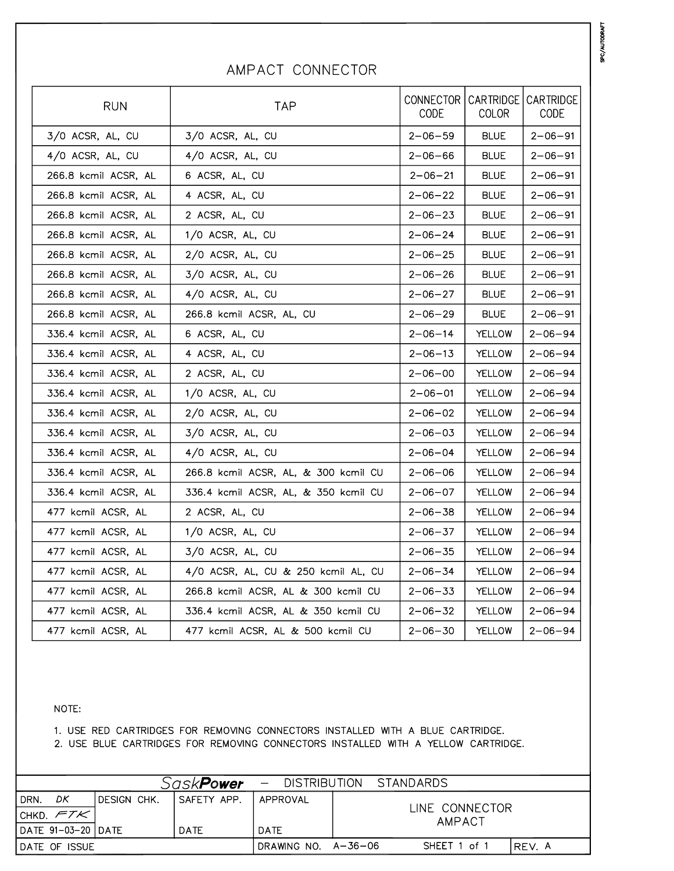| <b>RUN</b>           | <b>TAP</b>                           | CONNECTOR<br>CODE | CARTRIDGE<br>COLOR | CARTRIDGE<br>CODE |
|----------------------|--------------------------------------|-------------------|--------------------|-------------------|
| 3/0 ACSR, AL, CU     | 3/0 ACSR, AL, CU                     | $2 - 06 - 59$     | <b>BLUE</b>        | $2 - 06 - 91$     |
| 4/0 ACSR, AL, CU     | 4/0 ACSR, AL, CU                     | $2 - 06 - 66$     | <b>BLUE</b>        | $2 - 06 - 91$     |
| 266.8 kcmil ACSR, AL | 6 ACSR, AL, CU                       | $2 - 06 - 21$     | BLUE               | $2 - 06 - 91$     |
| 266.8 kcmil ACSR, AL | 4 ACSR, AL, CU                       | $2 - 06 - 22$     | <b>BLUE</b>        | $2 - 06 - 91$     |
| 266.8 kcmil ACSR, AL | 2 ACSR, AL, CU                       | $2 - 06 - 23$     | <b>BLUE</b>        | 2-06-91           |
| 266.8 kcmil ACSR, AL | 1/0 ACSR, AL, CU                     | $2 - 06 - 24$     | <b>BLUE</b>        | 2-06-91           |
| 266.8 kcmil ACSR, AL | 2/0 ACSR, AL, CU                     | $2 - 06 - 25$     | <b>BLUE</b>        | $2 - 06 - 91$     |
| 266.8 kcmil ACSR, AL | 3/0 ACSR, AL, CU                     | $2 - 06 - 26$     | <b>BLUE</b>        | $2 - 06 - 91$     |
| 266.8 kcmil ACSR, AL | 4/0 ACSR, AL, CU                     | $2 - 06 - 27$     | <b>BLUE</b>        | $2 - 06 - 91$     |
| 266.8 kcmil ACSR, AL | 266.8 kcmil ACSR, AL, CU             | $2 - 06 - 29$     | <b>BLUE</b>        | $2 - 06 - 91$     |
| 336.4 kcmil ACSR, AL | 6 ACSR, AL, CU                       | $2 - 06 - 14$     | YELLOW             | $2 - 06 - 94$     |
| 336.4 kcmil ACSR, AL | 4 ACSR, AL, CU                       | 2-06-13           | YELLOW             | $2 - 06 - 94$     |
| 336.4 kcmil ACSR, AL | 2 ACSR, AL, CU                       | $2 - 06 - 00$     | YELLOW             | $2 - 06 - 94$     |
| 336.4 kcmil ACSR, AL | 1/0 ACSR, AL, CU                     | $2 - 06 - 01$     | YELLOW             | $2 - 06 - 94$     |
| 336.4 kcmil ACSR, AL | 2/0 ACSR, AL, CU                     | $2 - 06 - 02$     | YELLOW             | $2 - 06 - 94$     |
| 336.4 kcmil ACSR, AL | 3/0 ACSR, AL, CU                     | $2 - 06 - 03$     | YELLOW             | $2 - 06 - 94$     |
| 336.4 kcmil ACSR, AL | 4/0 ACSR, AL, CU                     | $2 - 06 - 04$     | YELLOW             | $2 - 06 - 94$     |
| 336.4 kcmil ACSR, AL | 266.8 kcmil ACSR, AL, & 300 kcmil CU | $2 - 06 - 06$     | YELLOW             | 2-06-94           |
| 336.4 kcmil ACSR, AL | 336.4 kcmil ACSR, AL, & 350 kcmil CU | $2 - 06 - 07$     | YELLOW             | $2 - 06 - 94$     |
| 477 kcmil ACSR, AL   | 2 ACSR, AL, CU                       | $2 - 06 - 38$     | YELLOW             | $2 - 06 - 94$     |
| 477 kcmil ACSR, AL   | 1/0 ACSR, AL, CU                     | $2 - 06 - 37$     | YELLOW             | $2 - 06 - 94$     |
| 477 kcmil ACSR, AL   | 3/0 ACSR, AL, CU                     | $2 - 06 - 35$     | YELLOW             | $2 - 06 - 94$     |
| 477 kcmil ACSR, AL   | 4/0 ACSR, AL, CU & 250 kcmil AL, CU  | $2 - 06 - 34$     | YELLOW             | $2 - 06 - 94$     |
| 477 kcmil ACSR, AL   | 266.8 kcmil ACSR, AL & 300 kcmil CU  | $2 - 06 - 33$     | YELLOW             | $2 - 06 - 94$     |
| 477 kcmil ACSR, AL   | 336.4 kcmil ACSR, AL & 350 kcmil CU  | $2 - 06 - 32$     | YELLOW             | $2 - 06 - 94$     |
| 477 kcmil ACSR, AL   | 477 kcmil ACSR, AL & 500 kcmil CU    | $2 - 06 - 30$     | <b>YELLOW</b>      | $2 - 06 - 94$     |

### AMPACT CONNECTOR

#### NOTE:

1. USE RED CARTRIDGES FOR REMOVING CONNECTORS INSTALLED WITH A BLUE CARTRIDGE.

2. USE BLUE CARTRIDGES FOR REMOVING CONNECTORS INSTALLED WITH A YELLOW CARTRIDGE.

|                            |              | Sask <b>Power</b> |                     |  | - DISTRIBUTION STANDARDS |  |
|----------------------------|--------------|-------------------|---------------------|--|--------------------------|--|
| DK<br>DRN.<br> CHKD. $FTK$ | IDESIGN CHK. | I SAFETY APP.     | APPROVAL            |  | LINE CONNECTOR<br>AMPACT |  |
| DATE 91-03-20 DATE         |              | <b>DATE</b>       | DATE                |  |                          |  |
| <b>IDATE OF ISSUE</b>      |              |                   | DRAWING NO. A-36-06 |  | SHEET 1 of 1<br>REV. A   |  |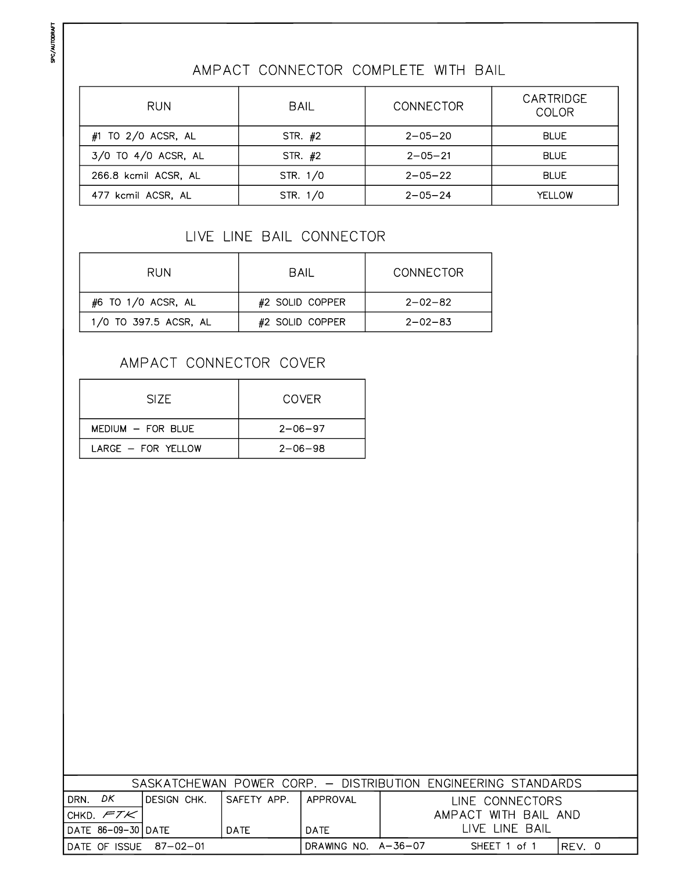## AMPACT CONNECTOR COMPLETE WITH BAIL

| <b>RUN</b>              | <b>BAIL</b>              | <b>CONNECTOR</b> | CARTRIDGE<br>COLOR |  |
|-------------------------|--------------------------|------------------|--------------------|--|
| $#1$ TO 2/0 ACSR, AL    | $2 - 05 - 20$<br>STR. #2 |                  | <b>BLUE</b>        |  |
| $3/0$ TO $4/0$ ACSR, AL | STR. #2                  | $2 - 05 - 21$    | <b>BLUE</b>        |  |
| 266.8 kcmil ACSR, AL    | STR. 1/0                 | $2 - 05 - 22$    | <b>BLUE</b>        |  |
| 477 kcmil ACSR, AL      | STR. 1/0                 | $2 - 05 - 24$    | YFI I OW           |  |

### LIVE LINE BAIL CONNECTOR

| <b>RUN</b>            | BAIL            | CONNECTOR     |  |  |
|-----------------------|-----------------|---------------|--|--|
| #6 TO 1/0 ACSR, AL    | #2 SOLID COPPER | $2 - 02 - 82$ |  |  |
| 1/0 TO 397.5 ACSR, AL | #2 SOLID COPPER | $2 - 02 - 83$ |  |  |

### AMPACT CONNECTOR COVER

| SIZE.                   | COVER         |
|-------------------------|---------------|
| $MFDIUM - FOR BI UF$    | $2 - 06 - 97$ |
| $I$ ARGF $-$ FOR YFILOW | $2 - 06 - 98$ |

| SASKATCHEWAN POWER CORP. - DISTRIBUTION ENGINEERING STANDARDS                  |             |              |             |                      |  |  |  |
|--------------------------------------------------------------------------------|-------------|--------------|-------------|----------------------|--|--|--|
| DK.<br>DRN.                                                                    | DESIGN CHK. | ISAFETY APP. | I APPROVAL  | LINE CONNECTORS      |  |  |  |
| I CHKD. $\mathcal{FTK}$ I                                                      |             |              |             | AMPACT WITH BAIL AND |  |  |  |
| IDATE 86-09-30 DATE                                                            |             | DATE         | <b>DATE</b> | LIVE LINE BAIL       |  |  |  |
| DRAWING NO. $A - 36 - 07$<br>IDATE OF ISSUE 87-02-01<br>SHEET 1 of 1<br>REV. 0 |             |              |             |                      |  |  |  |

SPC/AUTODRAFT